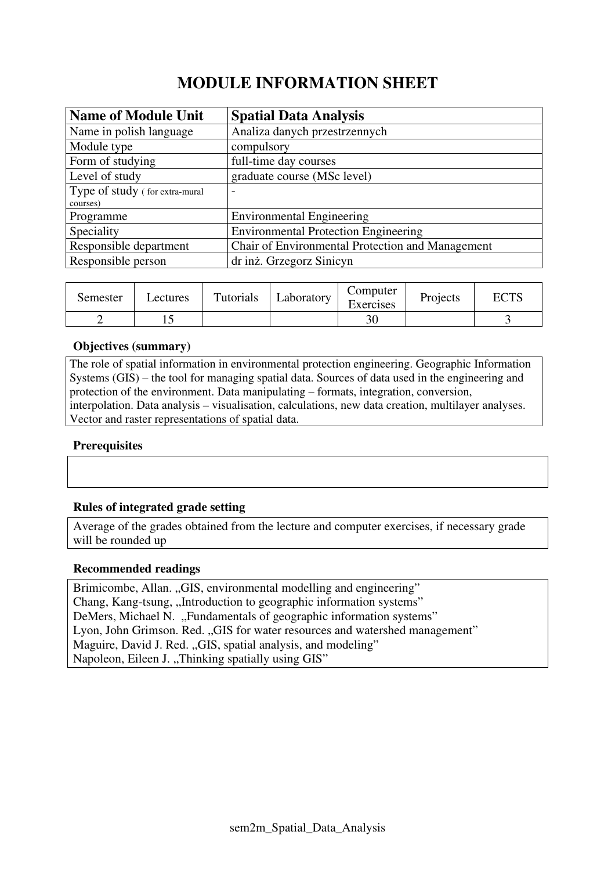# **MODULE INFORMATION SHEET**

| <b>Name of Module Unit</b>     | <b>Spatial Data Analysis</b>                     |
|--------------------------------|--------------------------------------------------|
| Name in polish language        | Analiza danych przestrzennych                    |
| Module type                    | compulsory                                       |
| Form of studying               | full-time day courses                            |
| Level of study                 | graduate course (MSc level)                      |
| Type of study (for extra-mural | $\overline{\phantom{0}}$                         |
| courses)                       |                                                  |
| Programme                      | <b>Environmental Engineering</b>                 |
| Speciality                     | <b>Environmental Protection Engineering</b>      |
| Responsible department         | Chair of Environmental Protection and Management |
| Responsible person             | dr inż. Grzegorz Sinicyn                         |

| Semester | Lectures | Tutorials | Laboratory | Computer<br>Exercises | Projects | $\Gamma \cap$ TC |
|----------|----------|-----------|------------|-----------------------|----------|------------------|
|          | ⊥ັ       |           |            | 30                    |          |                  |

#### **Objectives (summary)**

The role of spatial information in environmental protection engineering. Geographic Information Systems (GIS) – the tool for managing spatial data. Sources of data used in the engineering and protection of the environment. Data manipulating – formats, integration, conversion, interpolation. Data analysis – visualisation, calculations, new data creation, multilayer analyses. Vector and raster representations of spatial data.

### **Prerequisites**

#### **Rules of integrated grade setting**

Average of the grades obtained from the lecture and computer exercises, if necessary grade will be rounded up

#### **Recommended readings**

Brimicombe, Allan. "GIS, environmental modelling and engineering" Chang, Kang-tsung, "Introduction to geographic information systems" DeMers, Michael N. "Fundamentals of geographic information systems" Lyon, John Grimson. Red. "GIS for water resources and watershed management" Maguire, David J. Red. "GIS, spatial analysis, and modeling" Napoleon, Eileen J., Thinking spatially using GIS"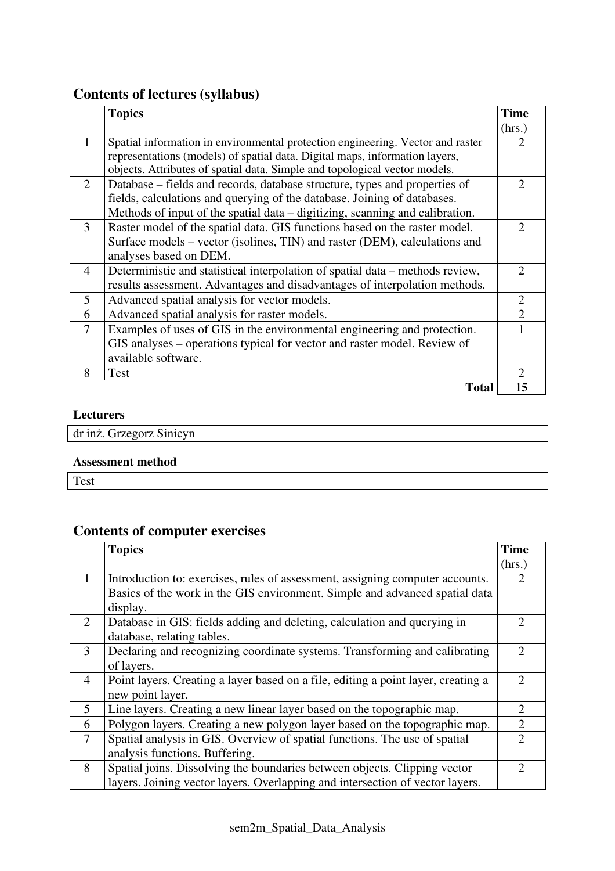## **Contents of lectures (syllabus)**

|                             | <b>Topics</b>                                                                  | <b>Time</b>                 |
|-----------------------------|--------------------------------------------------------------------------------|-----------------------------|
|                             |                                                                                | (hrs.)                      |
| 1                           | Spatial information in environmental protection engineering. Vector and raster | 2                           |
|                             | representations (models) of spatial data. Digital maps, information layers,    |                             |
|                             | objects. Attributes of spatial data. Simple and topological vector models.     |                             |
| $\mathcal{D}_{\mathcal{L}}$ | Database – fields and records, database structure, types and properties of     | $\mathcal{D}_{\mathcal{L}}$ |
|                             | fields, calculations and querying of the database. Joining of databases.       |                             |
|                             | Methods of input of the spatial data – digitizing, scanning and calibration.   |                             |
| 3                           | Raster model of the spatial data. GIS functions based on the raster model.     | 2                           |
|                             | Surface models – vector (isolines, TIN) and raster (DEM), calculations and     |                             |
|                             | analyses based on DEM.                                                         |                             |
| $\overline{4}$              | Deterministic and statistical interpolation of spatial data – methods review,  | $\mathcal{D}_{\mathcal{A}}$ |
|                             | results assessment. Advantages and disadvantages of interpolation methods.     |                             |
| 5                           | Advanced spatial analysis for vector models.                                   | $\overline{2}$              |
| 6                           | Advanced spatial analysis for raster models.                                   | $\overline{2}$              |
| $\overline{7}$              | Examples of uses of GIS in the environmental engineering and protection.       |                             |
|                             | GIS analyses – operations typical for vector and raster model. Review of       |                             |
|                             | available software.                                                            |                             |
| 8                           | Test                                                                           | $\mathcal{D}_{\mathcal{A}}$ |
|                             | <b>Total</b>                                                                   | 15                          |

### **Lecturers**

dr inż. Grzegorz Sinicyn

#### **Assessment method**

Test

# **Contents of computer exercises**

|                | <b>Topics</b>                                                                     | <b>Time</b>                 |
|----------------|-----------------------------------------------------------------------------------|-----------------------------|
|                |                                                                                   | (hrs.)                      |
| $\mathbf{1}$   | Introduction to: exercises, rules of assessment, assigning computer accounts.     | $\mathcal{D}_{\mathcal{L}}$ |
|                | Basics of the work in the GIS environment. Simple and advanced spatial data       |                             |
|                | display.                                                                          |                             |
| $\overline{2}$ | Database in GIS: fields adding and deleting, calculation and querying in          | $\mathcal{D}$               |
|                | database, relating tables.                                                        |                             |
| 3              | Declaring and recognizing coordinate systems. Transforming and calibrating        | $\mathcal{D}$               |
|                | of layers.                                                                        |                             |
| $\overline{4}$ | Point layers. Creating a layer based on a file, editing a point layer, creating a |                             |
|                | new point layer.                                                                  |                             |
| 5              | Line layers. Creating a new linear layer based on the topographic map.            | 2                           |
| 6              | Polygon layers. Creating a new polygon layer based on the topographic map.        | $\overline{2}$              |
| 7              | Spatial analysis in GIS. Overview of spatial functions. The use of spatial        | $\mathcal{D}$               |
|                | analysis functions. Buffering.                                                    |                             |
| 8              | Spatial joins. Dissolving the boundaries between objects. Clipping vector         |                             |
|                | layers. Joining vector layers. Overlapping and intersection of vector layers.     |                             |